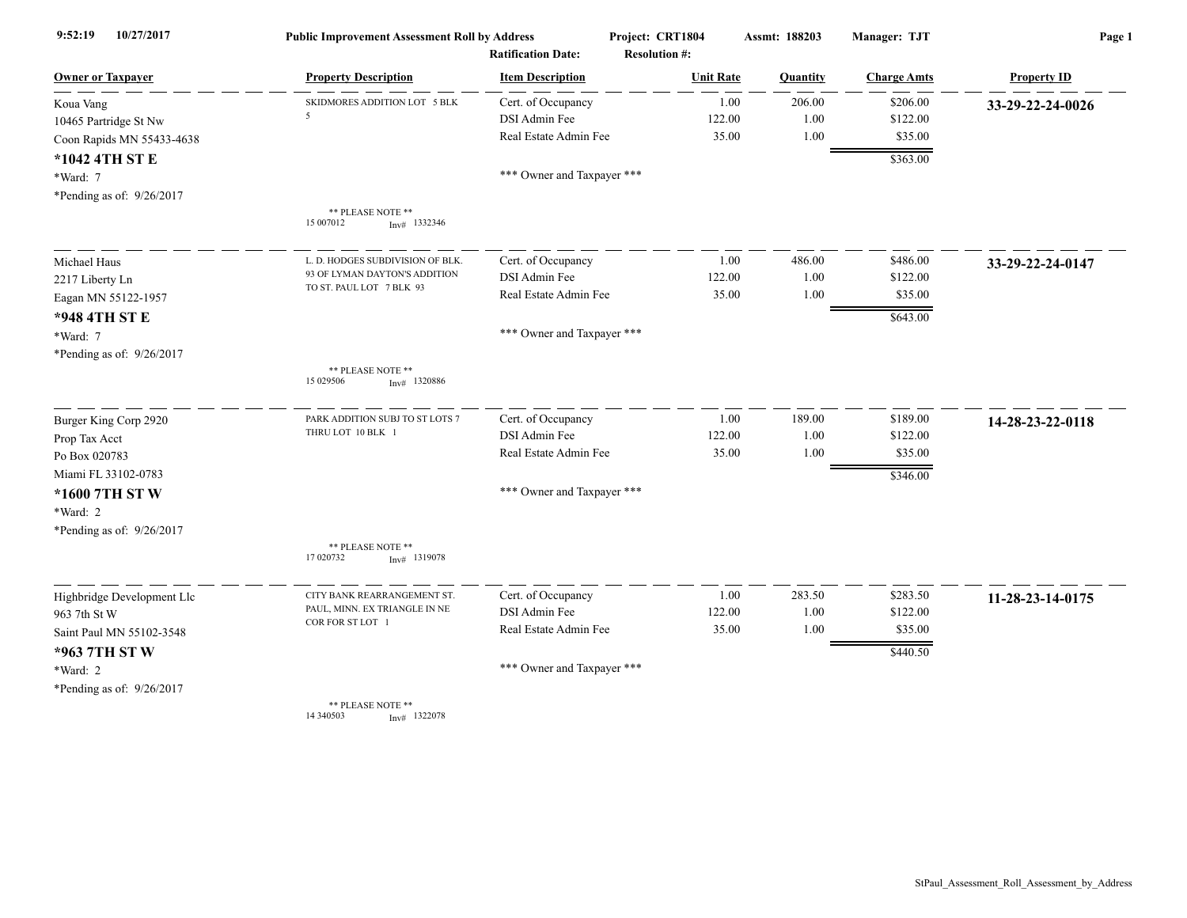| 10/27/2017<br>9:52:19      | <b>Public Improvement Assessment Roll by Address</b><br><b>Ratification Date:</b> |                            | Project: CRT1804<br><b>Resolution #:</b> | Assmt: 188203  | Manager: TJT       | Page 1             |
|----------------------------|-----------------------------------------------------------------------------------|----------------------------|------------------------------------------|----------------|--------------------|--------------------|
| <b>Owner or Taxpayer</b>   | <b>Property Description</b>                                                       | <b>Item Description</b>    | <b>Unit Rate</b>                         | Quantity       | <b>Charge Amts</b> | <b>Property ID</b> |
| Koua Vang                  | SKIDMORES ADDITION LOT 5 BLK                                                      | Cert. of Occupancy         |                                          | 206.00<br>1.00 | \$206.00           | 33-29-22-24-0026   |
| 10465 Partridge St Nw      | -5                                                                                | DSI Admin Fee              | 122.00                                   | 1.00           | \$122.00           |                    |
| Coon Rapids MN 55433-4638  |                                                                                   | Real Estate Admin Fee      | 35.00                                    | 1.00           | \$35.00            |                    |
| *1042 4TH ST E             |                                                                                   |                            |                                          |                | \$363.00           |                    |
| *Ward: 7                   |                                                                                   | *** Owner and Taxpayer *** |                                          |                |                    |                    |
| *Pending as of: 9/26/2017  |                                                                                   |                            |                                          |                |                    |                    |
|                            | ** PLEASE NOTE **<br>15 007012<br>$Inv#$ 1332346                                  |                            |                                          |                |                    |                    |
| Michael Haus               | L. D. HODGES SUBDIVISION OF BLK                                                   | Cert. of Occupancy         |                                          | 486.00<br>1.00 | \$486.00           | 33-29-22-24-0147   |
| 2217 Liberty Ln            | 93 OF LYMAN DAYTON'S ADDITION                                                     | DSI Admin Fee              | 122.00                                   | 1.00           | \$122.00           |                    |
| Eagan MN 55122-1957        | TO ST. PAUL LOT 7 BLK 93                                                          | Real Estate Admin Fee      | 35.00                                    | 1.00           | \$35.00            |                    |
| *948 4TH ST E              |                                                                                   |                            |                                          |                | \$643.00           |                    |
| *Ward: 7                   |                                                                                   | *** Owner and Taxpayer *** |                                          |                |                    |                    |
| *Pending as of: 9/26/2017  |                                                                                   |                            |                                          |                |                    |                    |
|                            | ** PLEASE NOTE **<br>15 029506<br>$Inv#$ 1320886                                  |                            |                                          |                |                    |                    |
| Burger King Corp 2920      | PARK ADDITION SUBJ TO ST LOTS 7                                                   | Cert. of Occupancy         |                                          | 189.00<br>1.00 | \$189.00           | 14-28-23-22-0118   |
| Prop Tax Acct              | THRU LOT 10 BLK 1                                                                 | DSI Admin Fee              | 122.00                                   | $1.00\,$       | \$122.00           |                    |
| Po Box 020783              |                                                                                   | Real Estate Admin Fee      | 35.00                                    | 1.00           | \$35.00            |                    |
| Miami FL 33102-0783        |                                                                                   |                            |                                          |                | \$346.00           |                    |
| *1600 7TH ST W             |                                                                                   | *** Owner and Taxpayer *** |                                          |                |                    |                    |
| *Ward: 2                   |                                                                                   |                            |                                          |                |                    |                    |
| *Pending as of: 9/26/2017  |                                                                                   |                            |                                          |                |                    |                    |
|                            | ** PLEASE NOTE **<br>17 020732<br>$Inv#$ 1319078                                  |                            |                                          |                |                    |                    |
| Highbridge Development Llc | CITY BANK REARRANGEMENT ST.                                                       | Cert. of Occupancy         |                                          | 283.50<br>1.00 | \$283.50           | 11-28-23-14-0175   |
| 963 7th St W               | PAUL, MINN. EX TRIANGLE IN NE                                                     | <b>DSI</b> Admin Fee       | 122.00                                   | 1.00           | \$122.00           |                    |
| Saint Paul MN 55102-3548   | COR FOR ST LOT 1                                                                  | Real Estate Admin Fee      | 35.00                                    | 1.00           | \$35.00            |                    |
| *963 7TH ST W              |                                                                                   |                            |                                          |                | \$440.50           |                    |
| *Ward: 2                   |                                                                                   | *** Owner and Taxpayer *** |                                          |                |                    |                    |
| *Pending as of: 9/26/2017  |                                                                                   |                            |                                          |                |                    |                    |
|                            | ** PLEASE NOTE **<br>14 34 05 03<br>$Inv#$ 1322078                                |                            |                                          |                |                    |                    |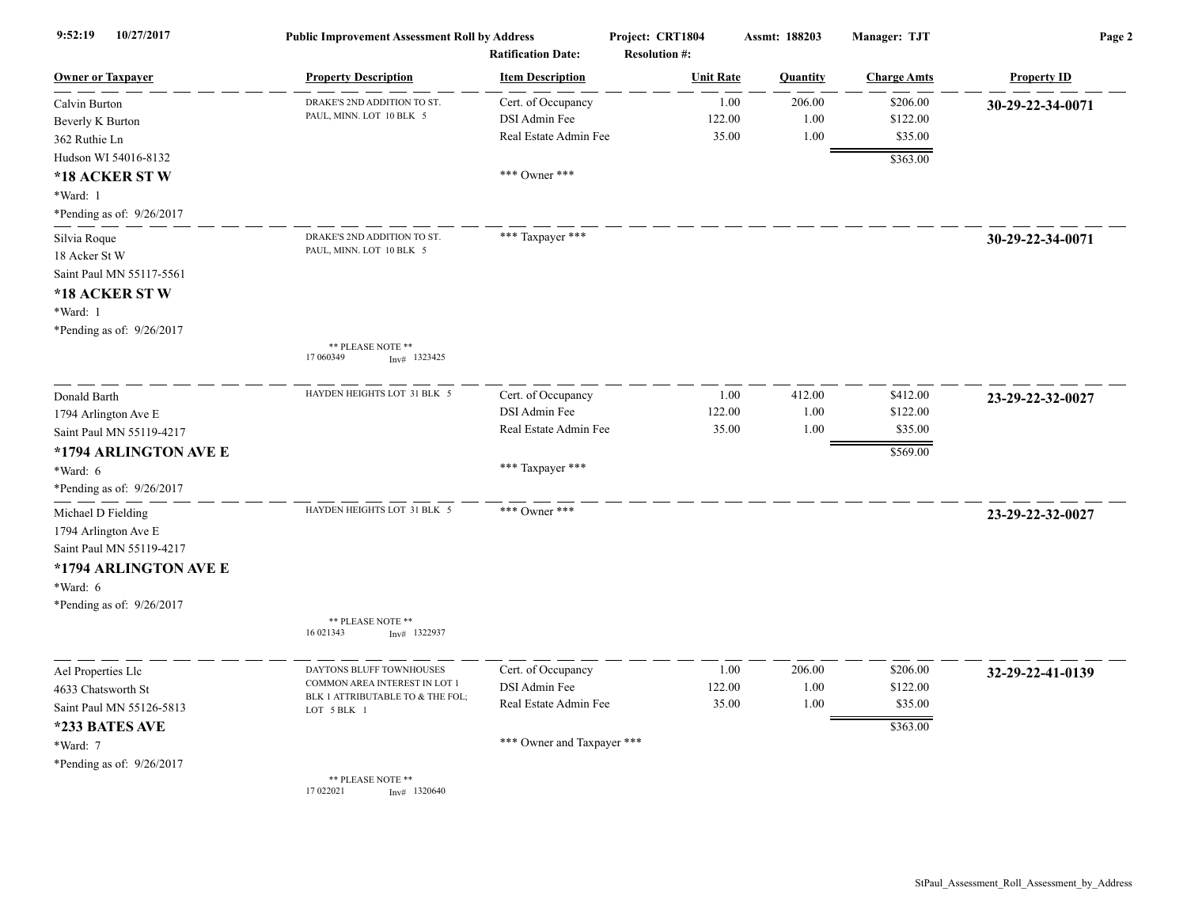| 9:52:19<br>10/27/2017                                                                                                                    | <b>Public Improvement Assessment Roll by Address</b>                                                         | <b>Ratification Date:</b>                                                        | Project: CRT1804<br><b>Resolution #:</b> | Assmt: 188203                           | <b>Manager: TJT</b>                         | Page 2             |
|------------------------------------------------------------------------------------------------------------------------------------------|--------------------------------------------------------------------------------------------------------------|----------------------------------------------------------------------------------|------------------------------------------|-----------------------------------------|---------------------------------------------|--------------------|
| <b>Owner or Taxpayer</b>                                                                                                                 | <b>Property Description</b>                                                                                  | <b>Item Description</b>                                                          | <b>Unit Rate</b>                         | Quantity                                | <b>Charge Amts</b>                          | <b>Property ID</b> |
| Calvin Burton<br>Beverly K Burton<br>362 Ruthie Ln<br>Hudson WI 54016-8132                                                               | DRAKE'S 2ND ADDITION TO ST.<br>PAUL, MINN. LOT 10 BLK 5                                                      | Cert. of Occupancy<br>DSI Admin Fee<br>Real Estate Admin Fee                     | 122.00                                   | 206.00<br>1.00<br>1.00<br>35.00<br>1.00 | \$206.00<br>\$122.00<br>\$35.00<br>\$363.00 | 30-29-22-34-0071   |
| *18 ACKER ST W<br>*Ward: 1<br>*Pending as of: $9/26/2017$                                                                                |                                                                                                              | *** Owner ***                                                                    |                                          |                                         |                                             |                    |
| Silvia Roque<br>18 Acker St W<br>Saint Paul MN 55117-5561<br>*18 ACKER ST W<br>*Ward: 1<br>*Pending as of: 9/26/2017                     | DRAKE'S 2ND ADDITION TO ST.<br>PAUL, MINN. LOT 10 BLK 5                                                      | *** Taxpayer ***                                                                 |                                          |                                         |                                             | 30-29-22-34-0071   |
|                                                                                                                                          | ** PLEASE NOTE **<br>17 060349<br>$Inv#$ 1323425                                                             |                                                                                  |                                          |                                         |                                             |                    |
| Donald Barth<br>1794 Arlington Ave E<br>Saint Paul MN 55119-4217<br>*1794 ARLINGTON AVE E<br>*Ward: 6                                    | HAYDEN HEIGHTS LOT 31 BLK 5                                                                                  | Cert. of Occupancy<br>DSI Admin Fee<br>Real Estate Admin Fee<br>*** Taxpayer *** | 122.00                                   | 412.00<br>1.00<br>1.00<br>35.00<br>1.00 | \$412.00<br>\$122.00<br>\$35.00<br>\$569.00 | 23-29-22-32-0027   |
| *Pending as of: 9/26/2017                                                                                                                |                                                                                                              |                                                                                  |                                          |                                         |                                             |                    |
| Michael D Fielding<br>1794 Arlington Ave E<br>Saint Paul MN 55119-4217<br>*1794 ARLINGTON AVE E<br>*Ward: 6<br>*Pending as of: 9/26/2017 | HAYDEN HEIGHTS LOT 31 BLK 5                                                                                  | *** Owner ***                                                                    |                                          |                                         |                                             | 23-29-22-32-0027   |
|                                                                                                                                          | ** PLEASE NOTE **<br>16 021343<br>Inv# 1322937                                                               |                                                                                  |                                          |                                         |                                             |                    |
| Ael Properties Llc<br>4633 Chatsworth St<br>Saint Paul MN 55126-5813<br>*233 BATES AVE                                                   | DAYTONS BLUFF TOWNHOUSES<br>COMMON AREA INTEREST IN LOT 1<br>BLK 1 ATTRIBUTABLE TO & THE FOL;<br>LOT 5 BLK 1 | Cert. of Occupancy<br>DSI Admin Fee<br>Real Estate Admin Fee                     | 122.00                                   | 1.00<br>206.00<br>1.00<br>35.00<br>1.00 | \$206.00<br>\$122.00<br>\$35.00<br>\$363.00 | 32-29-22-41-0139   |
| *Ward: 7<br>*Pending as of: 9/26/2017                                                                                                    | ** PLEASE NOTE **<br>17 022021<br>$Inv#$ 1320640                                                             | *** Owner and Taxpayer ***                                                       |                                          |                                         |                                             |                    |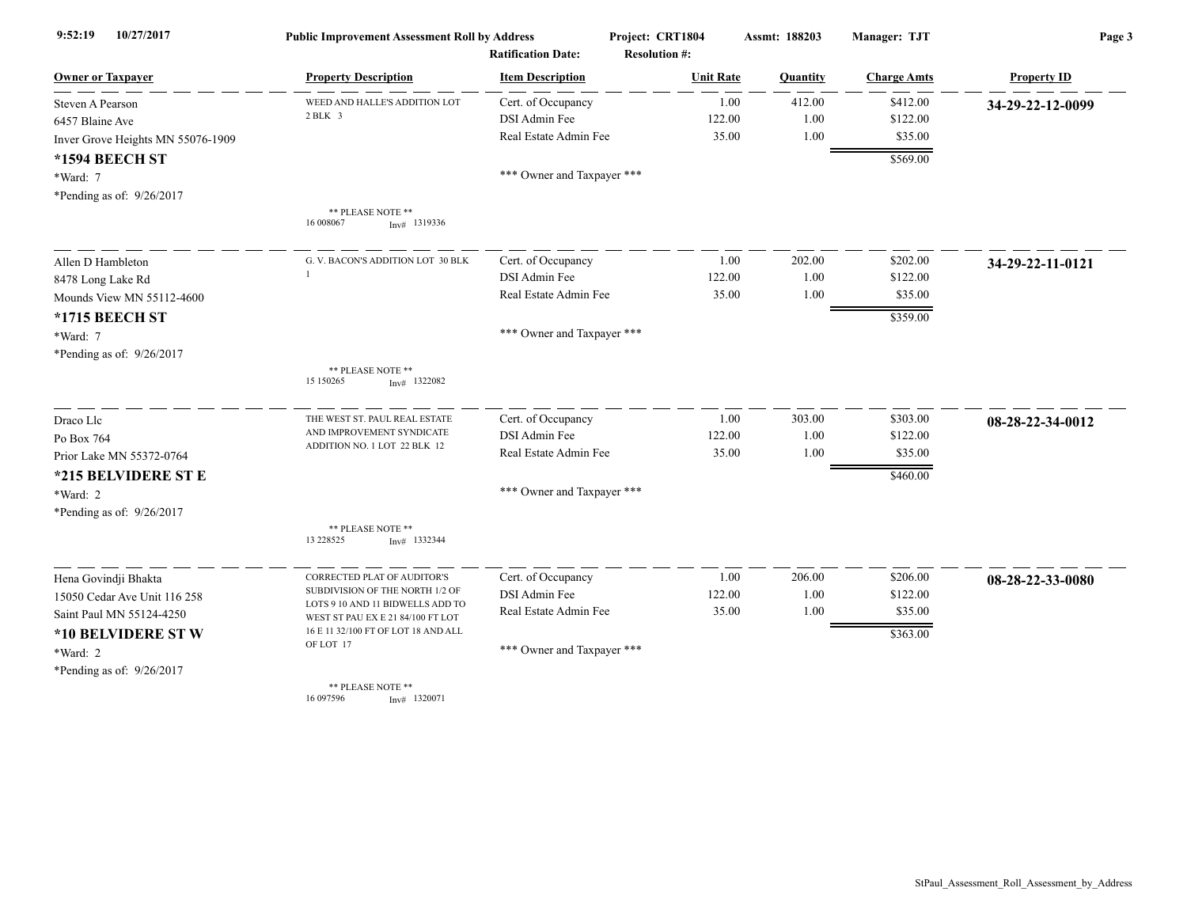| 10/27/2017<br>9:52:19             | <b>Public Improvement Assessment Roll by Address</b>                  |                            | Project: CRT1804     | Assmt: 188203 | Manager: TJT       | Page 3             |  |
|-----------------------------------|-----------------------------------------------------------------------|----------------------------|----------------------|---------------|--------------------|--------------------|--|
|                                   |                                                                       | <b>Ratification Date:</b>  | <b>Resolution #:</b> |               |                    |                    |  |
| <b>Owner or Taxpayer</b>          | <b>Property Description</b>                                           | <b>Item Description</b>    | <b>Unit Rate</b>     | Quantity      | <b>Charge Amts</b> | <b>Property ID</b> |  |
| Steven A Pearson                  | WEED AND HALLE'S ADDITION LOT                                         | Cert. of Occupancy         | 1.00                 | 412.00        | \$412.00           | 34-29-22-12-0099   |  |
| 6457 Blaine Ave                   | 2 BLK 3                                                               | DSI Admin Fee              | 122.00               | 1.00          | \$122.00           |                    |  |
| Inver Grove Heights MN 55076-1909 |                                                                       | Real Estate Admin Fee      | 35.00                | 1.00          | \$35.00            |                    |  |
| *1594 BEECH ST                    |                                                                       |                            |                      |               | \$569.00           |                    |  |
| *Ward: 7                          |                                                                       | *** Owner and Taxpayer *** |                      |               |                    |                    |  |
| *Pending as of: 9/26/2017         |                                                                       |                            |                      |               |                    |                    |  |
|                                   | ** PLEASE NOTE **<br>16 008067<br>$Inv#$ 1319336                      |                            |                      |               |                    |                    |  |
| Allen D Hambleton                 | G. V. BACON'S ADDITION LOT 30 BLK                                     | Cert. of Occupancy         | 1.00                 | 202.00        | \$202.00           | 34-29-22-11-0121   |  |
| 8478 Long Lake Rd                 |                                                                       | DSI Admin Fee              | 122.00               | 1.00          | \$122.00           |                    |  |
| Mounds View MN 55112-4600         |                                                                       | Real Estate Admin Fee      | 35.00                | 1.00          | \$35.00            |                    |  |
| *1715 BEECH ST                    |                                                                       |                            |                      |               | \$359.00           |                    |  |
| *Ward: 7                          |                                                                       | *** Owner and Taxpayer *** |                      |               |                    |                    |  |
| *Pending as of: 9/26/2017         |                                                                       |                            |                      |               |                    |                    |  |
|                                   | ** PLEASE NOTE **<br>15 150265<br>$Inv#$ 1322082                      |                            |                      |               |                    |                    |  |
| Draco Llc                         | THE WEST ST. PAUL REAL ESTATE                                         | Cert. of Occupancy         | 1.00                 | 303.00        | \$303.00           | 08-28-22-34-0012   |  |
| Po Box 764                        | AND IMPROVEMENT SYNDICATE                                             | DSI Admin Fee              | 122.00               | 1.00          | \$122.00           |                    |  |
| Prior Lake MN 55372-0764          | ADDITION NO. 1 LOT 22 BLK 12                                          | Real Estate Admin Fee      | 35.00                | 1.00          | \$35.00            |                    |  |
| *215 BELVIDERE ST E               |                                                                       |                            |                      |               | \$460.00           |                    |  |
| *Ward: 2                          |                                                                       | *** Owner and Taxpayer *** |                      |               |                    |                    |  |
| *Pending as of: 9/26/2017         |                                                                       |                            |                      |               |                    |                    |  |
|                                   | ** PLEASE NOTE **<br>13 228525<br>$Inv#$ 1332344                      |                            |                      |               |                    |                    |  |
| Hena Govindji Bhakta              | CORRECTED PLAT OF AUDITOR'S                                           | Cert. of Occupancy         | 1.00                 | 206.00        | \$206.00           | 08-28-22-33-0080   |  |
| 15050 Cedar Ave Unit 116 258      | SUBDIVISION OF THE NORTH 1/2 OF                                       | DSI Admin Fee              | 122.00               | 1.00          | \$122.00           |                    |  |
| Saint Paul MN 55124-4250          | LOTS 9 10 AND 11 BIDWELLS ADD TO<br>WEST ST PAU EX E 21 84/100 FT LOT | Real Estate Admin Fee      | 35.00                | 1.00          | \$35.00            |                    |  |
| *10 BELVIDERE ST W                | 16 E 11 32/100 FT OF LOT 18 AND ALL                                   |                            |                      |               | \$363.00           |                    |  |
| *Ward: 2                          | OF LOT 17                                                             | *** Owner and Taxpayer *** |                      |               |                    |                    |  |
| *Pending as of: 9/26/2017         |                                                                       |                            |                      |               |                    |                    |  |
|                                   | ** PLEASE NOTE **<br>16 097596<br>$Inv#$ 1320071                      |                            |                      |               |                    |                    |  |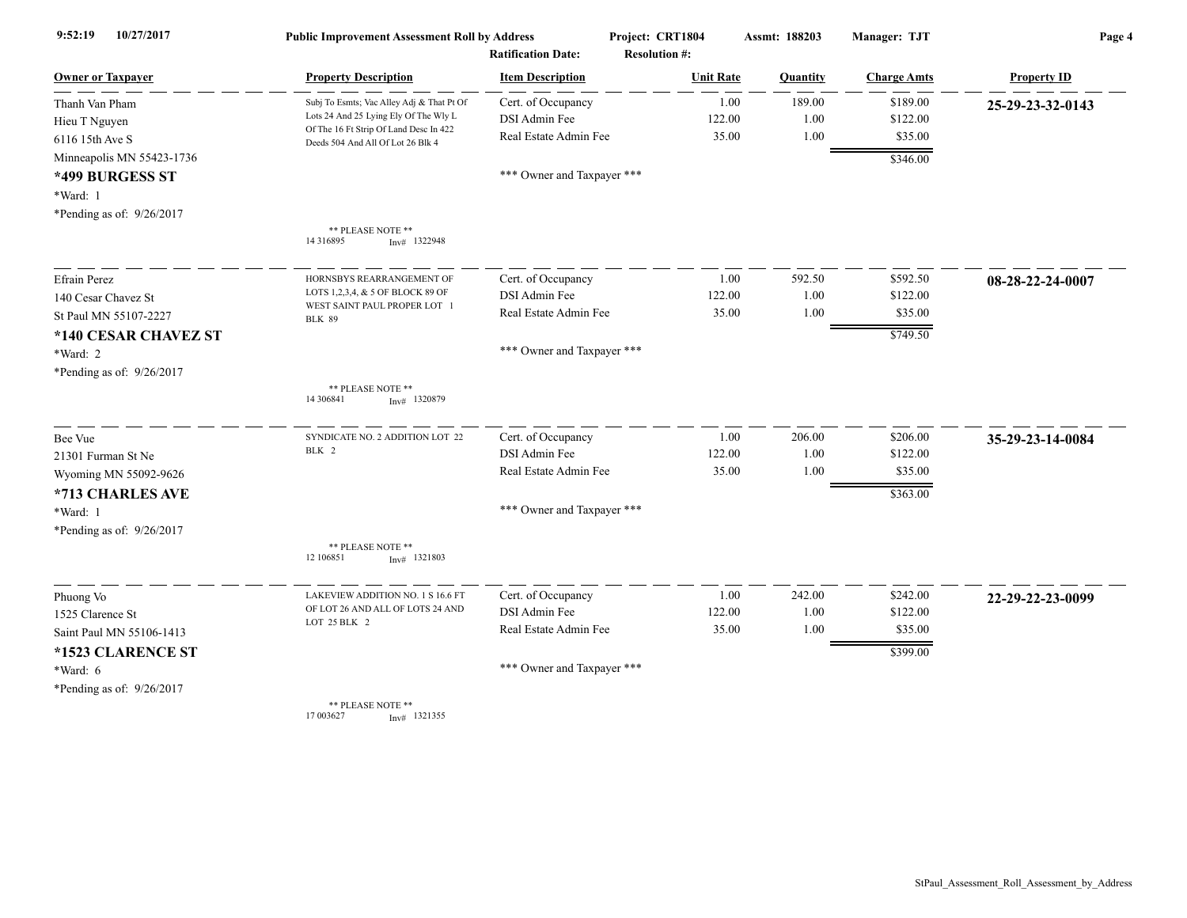| 10/27/2017<br>9:52:19     | <b>Public Improvement Assessment Roll by Address</b><br><b>Ratification Date:</b> |                            | Project: CRT1804<br><b>Resolution #:</b> | Assmt: 188203 | Manager: TJT       | Page 4             |  |
|---------------------------|-----------------------------------------------------------------------------------|----------------------------|------------------------------------------|---------------|--------------------|--------------------|--|
| <b>Owner or Taxpaver</b>  | <b>Property Description</b>                                                       | <b>Item Description</b>    | <b>Unit Rate</b>                         | Quantity      | <b>Charge Amts</b> | <b>Property ID</b> |  |
| Thanh Van Pham            | Subj To Esmts; Vac Alley Adj & That Pt Of                                         | Cert. of Occupancy         | 1.00                                     | 189.00        | \$189.00           | 25-29-23-32-0143   |  |
| Hieu T Nguyen             | Lots 24 And 25 Lying Ely Of The Wly L                                             | DSI Admin Fee              | 122.00                                   | 1.00          | \$122.00           |                    |  |
| 6116 15th Ave S           | Of The 16 Ft Strip Of Land Desc In 422<br>Deeds 504 And All Of Lot 26 Blk 4       | Real Estate Admin Fee      | 35.00                                    | 1.00          | \$35.00            |                    |  |
| Minneapolis MN 55423-1736 |                                                                                   |                            |                                          |               | \$346.00           |                    |  |
| *499 BURGESS ST           |                                                                                   | *** Owner and Taxpayer *** |                                          |               |                    |                    |  |
| *Ward: 1                  |                                                                                   |                            |                                          |               |                    |                    |  |
| *Pending as of: 9/26/2017 |                                                                                   |                            |                                          |               |                    |                    |  |
|                           | ** PLEASE NOTE **<br>14 3 16 8 9 5<br>$Inv#$ 1322948                              |                            |                                          |               |                    |                    |  |
| Efrain Perez              | HORNSBYS REARRANGEMENT OF                                                         | Cert. of Occupancy         | 1.00                                     | 592.50        | \$592.50           | 08-28-22-24-0007   |  |
| 140 Cesar Chavez St       | LOTS 1,2,3,4, & 5 OF BLOCK 89 OF                                                  | DSI Admin Fee              | 122.00                                   | 1.00          | \$122.00           |                    |  |
| St Paul MN 55107-2227     | WEST SAINT PAUL PROPER LOT 1<br><b>BLK 89</b>                                     | Real Estate Admin Fee      | 35.00                                    | 1.00          | \$35.00            |                    |  |
| *140 CESAR CHAVEZ ST      |                                                                                   |                            |                                          |               | \$749.50           |                    |  |
| *Ward: 2                  |                                                                                   | *** Owner and Taxpayer *** |                                          |               |                    |                    |  |
| *Pending as of: 9/26/2017 |                                                                                   |                            |                                          |               |                    |                    |  |
|                           | ** PLEASE NOTE **<br>14 30 6841<br>$Inv#$ 1320879                                 |                            |                                          |               |                    |                    |  |
| Bee Vue                   | SYNDICATE NO. 2 ADDITION LOT 22                                                   | Cert. of Occupancy         | 1.00                                     | 206.00        | \$206.00           | 35-29-23-14-0084   |  |
| 21301 Furman St Ne        | BLK 2                                                                             | DSI Admin Fee              | 122.00                                   | 1.00          | \$122.00           |                    |  |
| Wyoming MN 55092-9626     |                                                                                   | Real Estate Admin Fee      | 35.00                                    | 1.00          | \$35.00            |                    |  |
| *713 CHARLES AVE          |                                                                                   |                            |                                          |               | \$363.00           |                    |  |
| *Ward: 1                  |                                                                                   | *** Owner and Taxpayer *** |                                          |               |                    |                    |  |
| *Pending as of: 9/26/2017 |                                                                                   |                            |                                          |               |                    |                    |  |
|                           | ** PLEASE NOTE **<br>12 106851<br>$Inv#$ 1321803                                  |                            |                                          |               |                    |                    |  |
| Phuong Vo                 | LAKEVIEW ADDITION NO. 1 S 16.6 FT                                                 | Cert. of Occupancy         | 1.00                                     | 242.00        | \$242.00           | 22-29-22-23-0099   |  |
| 1525 Clarence St          | OF LOT 26 AND ALL OF LOTS 24 AND                                                  | DSI Admin Fee              | 122.00                                   | 1.00          | \$122.00           |                    |  |
| Saint Paul MN 55106-1413  | LOT 25 BLK 2                                                                      | Real Estate Admin Fee      | 35.00                                    | 1.00          | \$35.00            |                    |  |
| *1523 CLARENCE ST         |                                                                                   |                            |                                          |               | \$399.00           |                    |  |
| *Ward: 6                  |                                                                                   | *** Owner and Taxpayer *** |                                          |               |                    |                    |  |
| *Pending as of: 9/26/2017 |                                                                                   |                            |                                          |               |                    |                    |  |
|                           | ** PLEASE NOTE **<br>17 003627<br>$Inv#$ 1321355                                  |                            |                                          |               |                    |                    |  |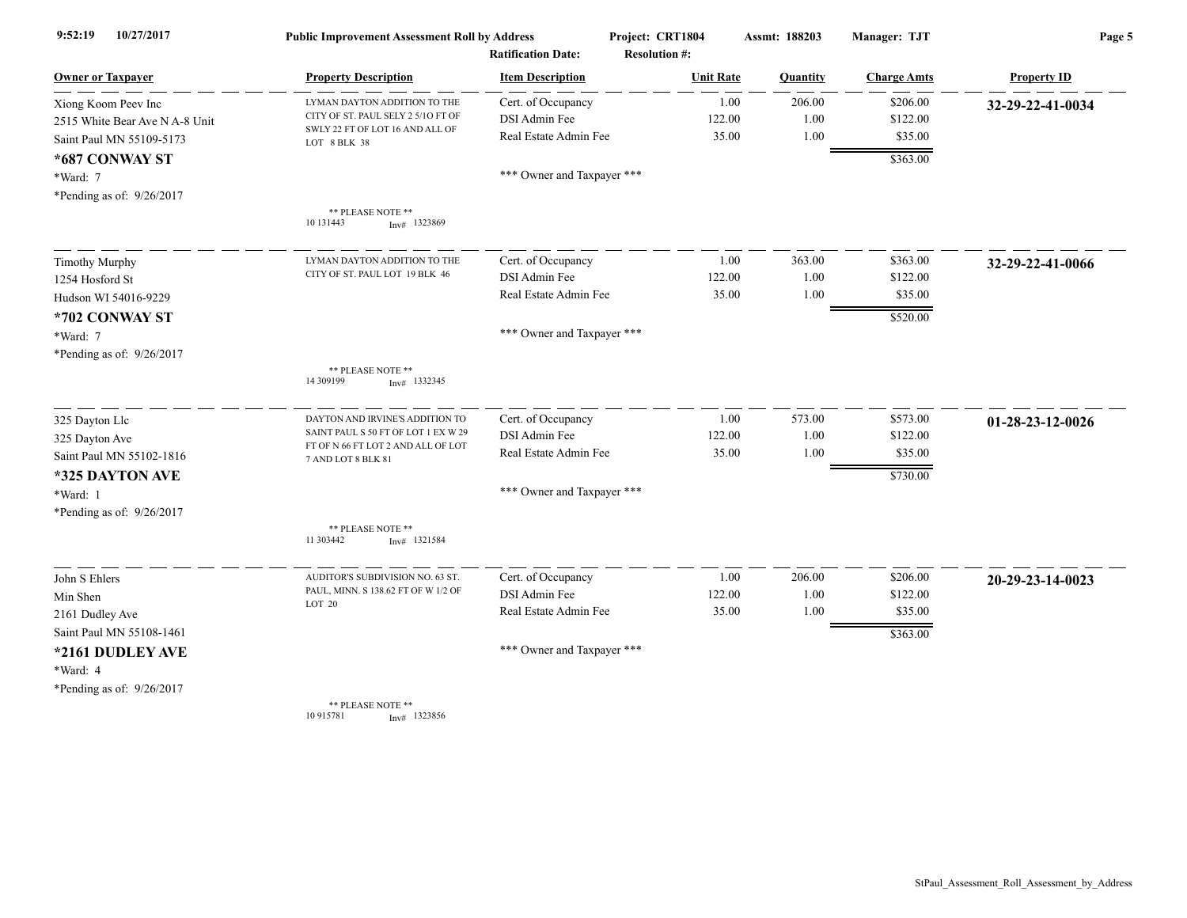| 10/27/2017<br>9:52:19          | <b>Public Improvement Assessment Roll by Address</b>                      |                            | Project: CRT1804     | Assmt: 188203 | Manager: TJT       | Page 5             |
|--------------------------------|---------------------------------------------------------------------------|----------------------------|----------------------|---------------|--------------------|--------------------|
|                                | <b>Ratification Date:</b>                                                 |                            | <b>Resolution #:</b> |               |                    |                    |
| <b>Owner or Taxpayer</b>       | <b>Property Description</b>                                               | <b>Item Description</b>    | <b>Unit Rate</b>     | Quantity      | <b>Charge Amts</b> | <b>Property ID</b> |
| Xiong Koom Peev Inc            | LYMAN DAYTON ADDITION TO THE                                              | Cert. of Occupancy         | 1.00                 | 206.00        | \$206.00           | 32-29-22-41-0034   |
| 2515 White Bear Ave N A-8 Unit | CITY OF ST. PAUL SELY 2 5/10 FT OF                                        | DSI Admin Fee              | 122.00               | 1.00          | \$122.00           |                    |
| Saint Paul MN 55109-5173       | SWLY 22 FT OF LOT 16 AND ALL OF<br>LOT 8 BLK 38                           | Real Estate Admin Fee      | 35.00                | 1.00          | \$35.00            |                    |
| *687 CONWAY ST                 |                                                                           |                            |                      |               | \$363.00           |                    |
| *Ward: 7                       |                                                                           | *** Owner and Taxpayer *** |                      |               |                    |                    |
| *Pending as of: 9/26/2017      |                                                                           |                            |                      |               |                    |                    |
|                                | ** PLEASE NOTE **<br>10 13 1443<br>$Inv#$ 1323869                         |                            |                      |               |                    |                    |
| <b>Timothy Murphy</b>          | LYMAN DAYTON ADDITION TO THE                                              | Cert. of Occupancy         | 1.00                 | 363.00        | \$363.00           | 32-29-22-41-0066   |
| 1254 Hosford St                | CITY OF ST. PAUL LOT 19 BLK 46                                            | DSI Admin Fee              | 122.00               | 1.00          | \$122.00           |                    |
| Hudson WI 54016-9229           |                                                                           | Real Estate Admin Fee      | 35.00                | 1.00          | \$35.00            |                    |
| *702 CONWAY ST                 |                                                                           |                            |                      |               | \$520.00           |                    |
| *Ward: 7                       |                                                                           | *** Owner and Taxpayer *** |                      |               |                    |                    |
| *Pending as of: 9/26/2017      |                                                                           |                            |                      |               |                    |                    |
|                                | ** PLEASE NOTE **<br>14 309199<br>$Inv#$ 1332345                          |                            |                      |               |                    |                    |
| 325 Dayton Llc                 | DAYTON AND IRVINE'S ADDITION TO                                           | Cert. of Occupancy         | 1.00                 | 573.00        | \$573.00           | 01-28-23-12-0026   |
| 325 Dayton Ave                 | SAINT PAUL S 50 FT OF LOT 1 EX W 29<br>FT OF N 66 FT LOT 2 AND ALL OF LOT | DSI Admin Fee              | 122.00               | 1.00          | \$122.00           |                    |
| Saint Paul MN 55102-1816       | 7 AND LOT 8 BLK 81                                                        | Real Estate Admin Fee      | 35.00                | 1.00          | \$35.00            |                    |
| *325 DAYTON AVE                |                                                                           |                            |                      |               | \$730.00           |                    |
| *Ward: 1                       |                                                                           | *** Owner and Taxpayer *** |                      |               |                    |                    |
| *Pending as of: 9/26/2017      |                                                                           |                            |                      |               |                    |                    |
|                                | ** PLEASE NOTE **<br>11 303442<br>$Inv#$ 1321584                          |                            |                      |               |                    |                    |
| John S Ehlers                  | AUDITOR'S SUBDIVISION NO. 63 ST                                           | Cert. of Occupancy         | 1.00                 | 206.00        | \$206.00           | 20-29-23-14-0023   |
| Min Shen                       | PAUL, MINN. S 138.62 FT OF W 1/2 OF                                       | DSI Admin Fee              | 122.00               | 1.00          | \$122.00           |                    |
| 2161 Dudley Ave                | LOT 20                                                                    | Real Estate Admin Fee      | 35.00                | 1.00          | \$35.00            |                    |
| Saint Paul MN 55108-1461       |                                                                           |                            |                      |               | \$363.00           |                    |
| *2161 DUDLEY AVE               |                                                                           | *** Owner and Taxpayer *** |                      |               |                    |                    |
| *Ward: 4                       |                                                                           |                            |                      |               |                    |                    |
| *Pending as of: 9/26/2017      |                                                                           |                            |                      |               |                    |                    |
|                                | ** PLEASE NOTE **<br>10 915781<br>$Inv#$ 1323856                          |                            |                      |               |                    |                    |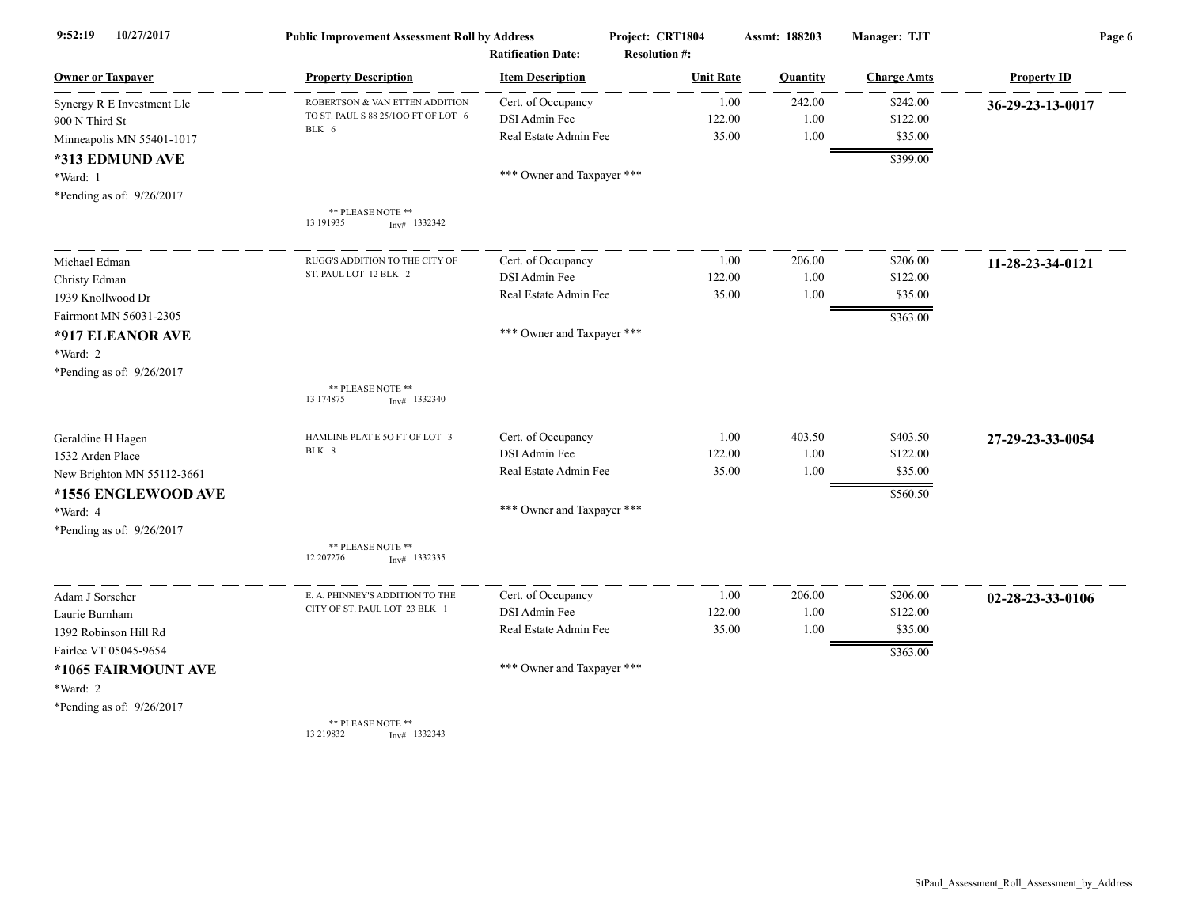| 10/27/2017<br>9:52:19      | <b>Public Improvement Assessment Roll by Address</b><br><b>Ratification Date:</b> |                            | Project: CRT1804<br><b>Resolution #:</b> | Assmt: 188203 | Manager: TJT       | Page 6             |  |
|----------------------------|-----------------------------------------------------------------------------------|----------------------------|------------------------------------------|---------------|--------------------|--------------------|--|
| <b>Owner or Taxpayer</b>   | <b>Property Description</b>                                                       | <b>Item Description</b>    | <b>Unit Rate</b>                         | Quantity      | <b>Charge Amts</b> | <b>Property ID</b> |  |
| Synergy R E Investment Llc | ROBERTSON & VAN ETTEN ADDITION                                                    | Cert. of Occupancy         | 1.00                                     | 242.00        | \$242.00           | 36-29-23-13-0017   |  |
| 900 N Third St             | TO ST. PAUL S 88 25/100 FT OF LOT 6                                               | DSI Admin Fee              | 122.00                                   | 1.00          | \$122.00           |                    |  |
| Minneapolis MN 55401-1017  | BLK 6                                                                             | Real Estate Admin Fee      | 35.00                                    | 1.00          | \$35.00            |                    |  |
| *313 EDMUND AVE            |                                                                                   |                            |                                          |               | \$399.00           |                    |  |
| *Ward: 1                   |                                                                                   | *** Owner and Taxpayer *** |                                          |               |                    |                    |  |
| *Pending as of: 9/26/2017  |                                                                                   |                            |                                          |               |                    |                    |  |
|                            | ** PLEASE NOTE **<br>13 19 19 35<br>$Inv#$ 1332342                                |                            |                                          |               |                    |                    |  |
| Michael Edman              | RUGG'S ADDITION TO THE CITY OF                                                    | Cert. of Occupancy         | 1.00                                     | 206.00        | \$206.00           | 11-28-23-34-0121   |  |
| Christy Edman              | ST. PAUL LOT 12 BLK 2                                                             | DSI Admin Fee              | 122.00                                   | 1.00          | \$122.00           |                    |  |
| 1939 Knollwood Dr          |                                                                                   | Real Estate Admin Fee      | 35.00                                    | 1.00          | \$35.00            |                    |  |
| Fairmont MN 56031-2305     |                                                                                   |                            |                                          |               | \$363.00           |                    |  |
| *917 ELEANOR AVE           |                                                                                   | *** Owner and Taxpayer *** |                                          |               |                    |                    |  |
| *Ward: 2                   |                                                                                   |                            |                                          |               |                    |                    |  |
| *Pending as of: 9/26/2017  |                                                                                   |                            |                                          |               |                    |                    |  |
|                            | ** PLEASE NOTE **<br>13 174875<br>$Inv#$ 1332340                                  |                            |                                          |               |                    |                    |  |
| Geraldine H Hagen          | HAMLINE PLAT E 5O FT OF LOT 3                                                     | Cert. of Occupancy         | 1.00                                     | 403.50        | \$403.50           | 27-29-23-33-0054   |  |
| 1532 Arden Place           | BLK 8                                                                             | DSI Admin Fee              | 122.00                                   | 1.00          | \$122.00           |                    |  |
| New Brighton MN 55112-3661 |                                                                                   | Real Estate Admin Fee      | 35.00                                    | 1.00          | \$35.00            |                    |  |
| *1556 ENGLEWOOD AVE        |                                                                                   |                            |                                          |               | \$560.50           |                    |  |
| *Ward: 4                   |                                                                                   | *** Owner and Taxpayer *** |                                          |               |                    |                    |  |
| *Pending as of: 9/26/2017  |                                                                                   |                            |                                          |               |                    |                    |  |
|                            | ** PLEASE NOTE **<br>12 207276<br>$Inv#$ 1332335                                  |                            |                                          |               |                    |                    |  |
| Adam J Sorscher            | E. A. PHINNEY'S ADDITION TO THE                                                   | Cert. of Occupancy         | 1.00                                     | 206.00        | \$206.00           | 02-28-23-33-0106   |  |
| Laurie Burnham             | CITY OF ST. PAUL LOT 23 BLK 1                                                     | DSI Admin Fee              | 122.00                                   | 1.00          | \$122.00           |                    |  |
| 1392 Robinson Hill Rd      |                                                                                   | Real Estate Admin Fee      | 35.00                                    | 1.00          | \$35.00            |                    |  |
| Fairlee VT 05045-9654      |                                                                                   |                            |                                          |               | \$363.00           |                    |  |
| *1065 FAIRMOUNT AVE        |                                                                                   | *** Owner and Taxpayer *** |                                          |               |                    |                    |  |
| *Ward: 2                   |                                                                                   |                            |                                          |               |                    |                    |  |
| *Pending as of: 9/26/2017  |                                                                                   |                            |                                          |               |                    |                    |  |
|                            | ** PLEASE NOTE **                                                                 |                            |                                          |               |                    |                    |  |

13 219832 Inv# 1332343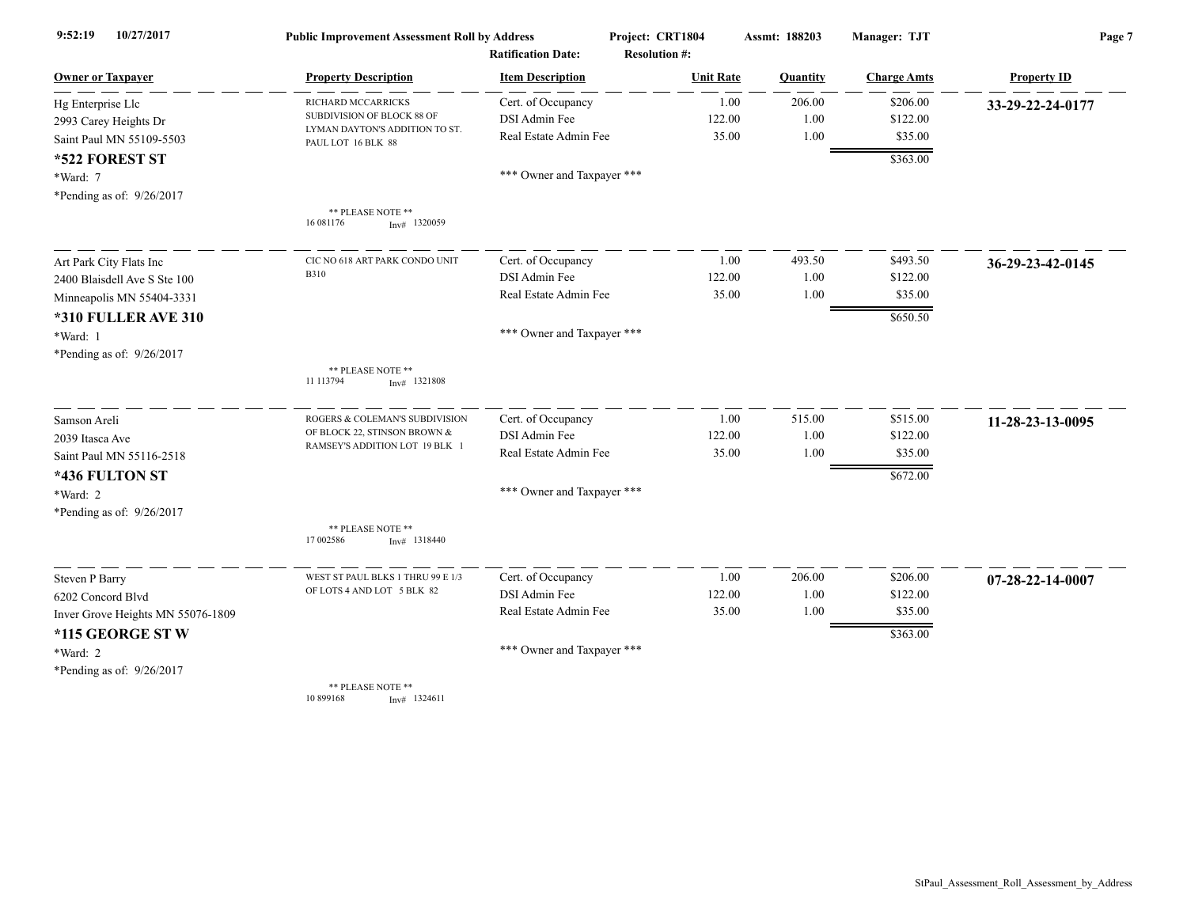| 10/27/2017<br>9:52:19             | <b>Public Improvement Assessment Roll by Address</b><br><b>Ratification Date:</b> |                            | Project: CRT1804     | Assmt: 188203 | Manager: TJT       | Page 7             |  |
|-----------------------------------|-----------------------------------------------------------------------------------|----------------------------|----------------------|---------------|--------------------|--------------------|--|
|                                   |                                                                                   |                            | <b>Resolution #:</b> |               |                    |                    |  |
| <b>Owner or Taxpayer</b>          | <b>Property Description</b>                                                       | <b>Item Description</b>    | <b>Unit Rate</b>     | Quantity      | <b>Charge Amts</b> | <b>Property ID</b> |  |
| Hg Enterprise Llc                 | RICHARD MCCARRICKS                                                                | Cert. of Occupancy         | 1.00                 | 206.00        | \$206.00           | 33-29-22-24-0177   |  |
| 2993 Carey Heights Dr             | SUBDIVISION OF BLOCK 88 OF<br>LYMAN DAYTON'S ADDITION TO ST.                      | DSI Admin Fee              | 122.00               | 1.00          | \$122.00           |                    |  |
| Saint Paul MN 55109-5503          | PAUL LOT 16 BLK 88                                                                | Real Estate Admin Fee      | 35.00                | 1.00          | \$35.00            |                    |  |
| *522 FOREST ST                    |                                                                                   |                            |                      |               | \$363.00           |                    |  |
| *Ward: 7                          |                                                                                   | *** Owner and Taxpayer *** |                      |               |                    |                    |  |
| *Pending as of: 9/26/2017         |                                                                                   |                            |                      |               |                    |                    |  |
|                                   | ** PLEASE NOTE **<br>16 08 1176<br>$Inv#$ 1320059                                 |                            |                      |               |                    |                    |  |
| Art Park City Flats Inc           | CIC NO 618 ART PARK CONDO UNIT                                                    | Cert. of Occupancy         | 1.00                 | 493.50        | \$493.50           | 36-29-23-42-0145   |  |
| 2400 Blaisdell Ave S Ste 100      | <b>B310</b>                                                                       | DSI Admin Fee              | 122.00               | 1.00          | \$122.00           |                    |  |
| Minneapolis MN 55404-3331         |                                                                                   | Real Estate Admin Fee      | 35.00                | 1.00          | \$35.00            |                    |  |
| <b>*310 FULLER AVE 310</b>        |                                                                                   |                            |                      |               | \$650.50           |                    |  |
| *Ward: 1                          |                                                                                   | *** Owner and Taxpayer *** |                      |               |                    |                    |  |
| *Pending as of: 9/26/2017         |                                                                                   |                            |                      |               |                    |                    |  |
|                                   | ** PLEASE NOTE **<br>11 113794<br>$Inv#$ 1321808                                  |                            |                      |               |                    |                    |  |
| Samson Areli                      | ROGERS & COLEMAN'S SUBDIVISION                                                    | Cert. of Occupancy         | 1.00                 | 515.00        | \$515.00           | 11-28-23-13-0095   |  |
| 2039 Itasca Ave                   | OF BLOCK 22, STINSON BROWN &                                                      | DSI Admin Fee              | 122.00               | 1.00          | \$122.00           |                    |  |
| Saint Paul MN 55116-2518          | RAMSEY'S ADDITION LOT 19 BLK 1                                                    | Real Estate Admin Fee      | 35.00                | 1.00          | \$35.00            |                    |  |
| *436 FULTON ST                    |                                                                                   |                            |                      |               | \$672.00           |                    |  |
| $*Ward: 2$                        |                                                                                   | *** Owner and Taxpayer *** |                      |               |                    |                    |  |
| *Pending as of: 9/26/2017         |                                                                                   |                            |                      |               |                    |                    |  |
|                                   | ** PLEASE NOTE **                                                                 |                            |                      |               |                    |                    |  |
|                                   | 17 002586<br>$Inv#$ 1318440                                                       |                            |                      |               |                    |                    |  |
| <b>Steven P Barry</b>             | WEST ST PAUL BLKS 1 THRU 99 E 1/3                                                 | Cert. of Occupancy         | 1.00                 | 206.00        | \$206.00           | 07-28-22-14-0007   |  |
| 6202 Concord Blvd                 | OF LOTS 4 AND LOT 5 BLK 82                                                        | DSI Admin Fee              | 122.00               | 1.00          | \$122.00           |                    |  |
| Inver Grove Heights MN 55076-1809 |                                                                                   | Real Estate Admin Fee      | 35.00                | 1.00          | \$35.00            |                    |  |
| *115 GEORGE ST W                  |                                                                                   |                            |                      |               | \$363.00           |                    |  |
| *Ward: 2                          |                                                                                   | *** Owner and Taxpayer *** |                      |               |                    |                    |  |
| *Pending as of: 9/26/2017         |                                                                                   |                            |                      |               |                    |                    |  |
|                                   | ** PLEASE NOTE **<br>10 899168<br>$Inv#$ 1324611                                  |                            |                      |               |                    |                    |  |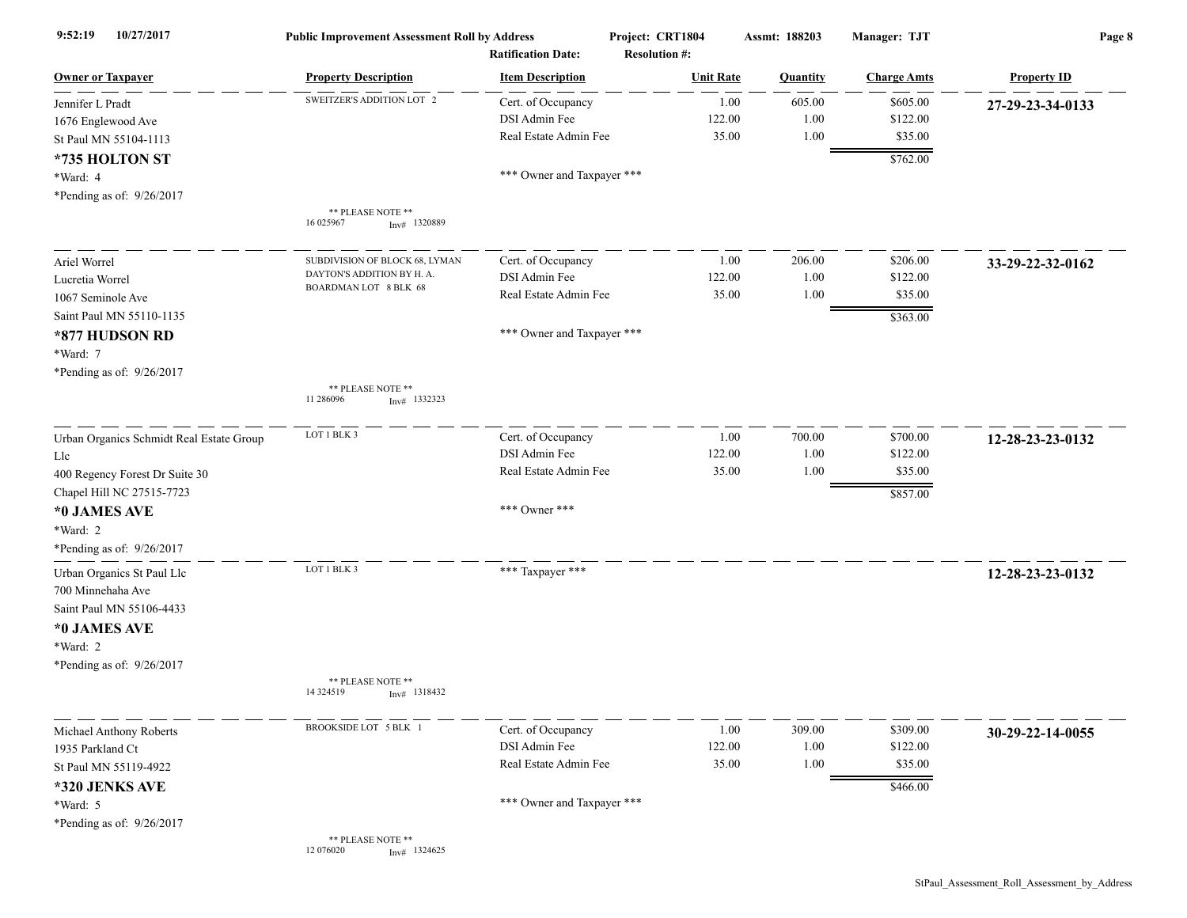| 10/27/2017<br>9:52:19                                                                                                                                             | <b>Public Improvement Assessment Roll by Address</b><br><b>Ratification Date:</b>     |                                                                               | Project: CRT1804<br>Assmt: 188203<br><b>Resolution #:</b> |                        | Manager: TJT                                | Page 8             |  |
|-------------------------------------------------------------------------------------------------------------------------------------------------------------------|---------------------------------------------------------------------------------------|-------------------------------------------------------------------------------|-----------------------------------------------------------|------------------------|---------------------------------------------|--------------------|--|
| <b>Owner or Taxpayer</b>                                                                                                                                          | <b>Property Description</b>                                                           | <b>Item Description</b>                                                       | <b>Unit Rate</b>                                          | Quantity               | <b>Charge Amts</b>                          | <b>Property ID</b> |  |
| Jennifer L Pradt<br>1676 Englewood Ave<br>St Paul MN 55104-1113                                                                                                   | SWEITZER'S ADDITION LOT 2                                                             | Cert. of Occupancy<br>DSI Admin Fee<br>Real Estate Admin Fee                  | 1.00<br>122.00<br>35.00                                   | 605.00<br>1.00<br>1.00 | \$605.00<br>\$122.00<br>\$35.00             | 27-29-23-34-0133   |  |
| *735 HOLTON ST<br>*Ward: 4<br>*Pending as of: 9/26/2017                                                                                                           |                                                                                       | *** Owner and Taxpayer ***                                                    |                                                           |                        | \$762.00                                    |                    |  |
|                                                                                                                                                                   | ** PLEASE NOTE **<br>16 025967<br>$Inv#$ 1320889                                      |                                                                               |                                                           |                        |                                             |                    |  |
| Ariel Worrel<br>Lucretia Worrel<br>1067 Seminole Ave<br>Saint Paul MN 55110-1135                                                                                  | SUBDIVISION OF BLOCK 68, LYMAN<br>DAYTON'S ADDITION BY H. A.<br>BOARDMAN LOT 8 BLK 68 | Cert. of Occupancy<br>DSI Admin Fee<br>Real Estate Admin Fee                  | 1.00<br>122.00<br>35.00                                   | 206.00<br>1.00<br>1.00 | \$206.00<br>\$122.00<br>\$35.00<br>\$363.00 | 33-29-22-32-0162   |  |
| *877 HUDSON RD<br>*Ward: 7<br>*Pending as of: 9/26/2017                                                                                                           | ** PLEASE NOTE **<br>11 286096<br>$Inv#$ 1332323                                      | *** Owner and Taxpayer ***                                                    |                                                           |                        |                                             |                    |  |
| Urban Organics Schmidt Real Estate Group<br>Llc<br>400 Regency Forest Dr Suite 30<br>Chapel Hill NC 27515-7723<br>*0 JAMES AVE<br>*Ward: 2                        | LOT 1 BLK 3                                                                           | Cert. of Occupancy<br>DSI Admin Fee<br>Real Estate Admin Fee<br>*** Owner *** | 1.00<br>122.00<br>35.00                                   | 700.00<br>1.00<br>1.00 | \$700.00<br>\$122.00<br>\$35.00<br>\$857.00 | 12-28-23-23-0132   |  |
| *Pending as of: 9/26/2017<br>Urban Organics St Paul Llc<br>700 Minnehaha Ave<br>Saint Paul MN 55106-4433<br>*0 JAMES AVE<br>*Ward: 2<br>*Pending as of: 9/26/2017 | LOT 1 BLK 3<br>** PLEASE NOTE **                                                      | *** Taxpayer ***                                                              |                                                           |                        |                                             | 12-28-23-23-0132   |  |
|                                                                                                                                                                   | 14 3 24 5 19<br>$Inv#$ 1318432                                                        |                                                                               |                                                           |                        |                                             |                    |  |
| Michael Anthony Roberts<br>1935 Parkland Ct<br>St Paul MN 55119-4922<br>*320 JENKS AVE                                                                            | BROOKSIDE LOT 5 BLK 1                                                                 | Cert. of Occupancy<br>DSI Admin Fee<br>Real Estate Admin Fee                  | 1.00<br>122.00<br>35.00                                   | 309.00<br>1.00<br>1.00 | \$309.00<br>\$122.00<br>\$35.00<br>\$466.00 | 30-29-22-14-0055   |  |
| *Ward: 5<br>*Pending as of: 9/26/2017                                                                                                                             | ** PLEASE NOTE **<br>12 076020<br>$Inv#$ 1324625                                      | *** Owner and Taxpayer ***                                                    |                                                           |                        |                                             |                    |  |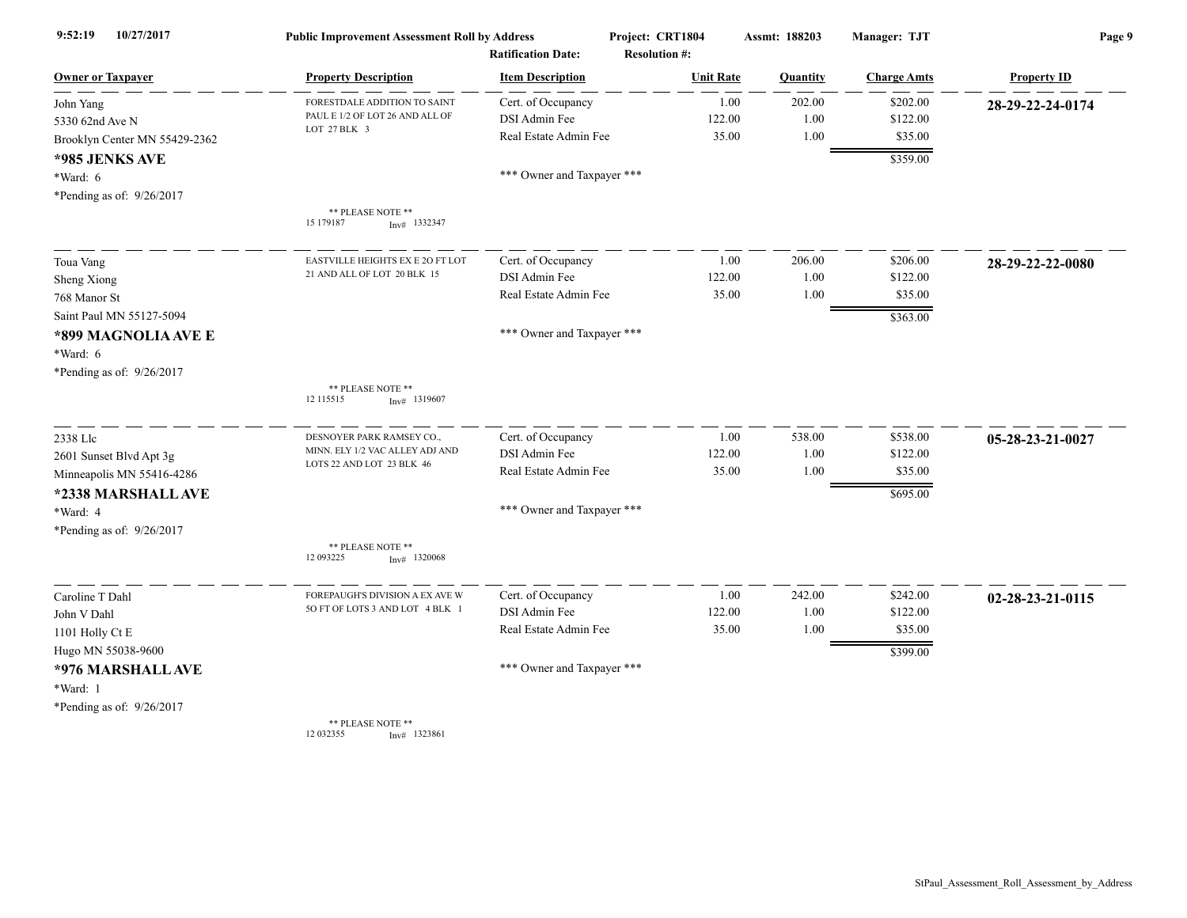| 10/27/2017<br>9:52:19         | <b>Public Improvement Assessment Roll by Address</b> |                            | Project: CRT1804     | Assmt: 188203 | Manager: TJT       | Page 9             |
|-------------------------------|------------------------------------------------------|----------------------------|----------------------|---------------|--------------------|--------------------|
|                               |                                                      | <b>Ratification Date:</b>  | <b>Resolution #:</b> |               |                    |                    |
| <b>Owner or Taxpayer</b>      | <b>Property Description</b>                          | <b>Item Description</b>    | <b>Unit Rate</b>     | Quantity      | <b>Charge Amts</b> | <b>Property ID</b> |
| John Yang                     | FORESTDALE ADDITION TO SAINT                         | Cert. of Occupancy         | 1.00                 | 202.00        | \$202.00           | 28-29-22-24-0174   |
| 5330 62nd Ave N               | PAUL E 1/2 OF LOT 26 AND ALL OF<br>LOT 27 BLK 3      | DSI Admin Fee              | 122.00               | 1.00          | \$122.00           |                    |
| Brooklyn Center MN 55429-2362 |                                                      | Real Estate Admin Fee      | 35.00                | 1.00          | \$35.00            |                    |
| *985 JENKS AVE                |                                                      |                            |                      |               | \$359.00           |                    |
| *Ward: 6                      |                                                      | *** Owner and Taxpayer *** |                      |               |                    |                    |
| *Pending as of: 9/26/2017     |                                                      |                            |                      |               |                    |                    |
|                               | ** PLEASE NOTE **<br>15 179 187<br>$Inv#$ 1332347    |                            |                      |               |                    |                    |
| Toua Vang                     | EASTVILLE HEIGHTS EX E 2O FT LOT                     | Cert. of Occupancy         | 1.00                 | 206.00        | \$206.00           | 28-29-22-22-0080   |
| Sheng Xiong                   | 21 AND ALL OF LOT 20 BLK 15                          | DSI Admin Fee              | 122.00               | 1.00          | \$122.00           |                    |
| 768 Manor St                  |                                                      | Real Estate Admin Fee      | 35.00                | 1.00          | \$35.00            |                    |
| Saint Paul MN 55127-5094      |                                                      |                            |                      |               | \$363.00           |                    |
| *899 MAGNOLIA AVE E           |                                                      | *** Owner and Taxpayer *** |                      |               |                    |                    |
| *Ward: 6                      |                                                      |                            |                      |               |                    |                    |
| *Pending as of: 9/26/2017     |                                                      |                            |                      |               |                    |                    |
|                               | ** PLEASE NOTE **<br>12 115515<br>$Inv#$ 1319607     |                            |                      |               |                    |                    |
| 2338 Llc                      | DESNOYER PARK RAMSEY CO.,                            | Cert. of Occupancy         | 1.00                 | 538.00        | \$538.00           | 05-28-23-21-0027   |
| 2601 Sunset Blvd Apt 3g       | MINN. ELY 1/2 VAC ALLEY ADJ AND                      | DSI Admin Fee              | 122.00               | 1.00          | \$122.00           |                    |
| Minneapolis MN 55416-4286     | LOTS 22 AND LOT 23 BLK 46                            | Real Estate Admin Fee      | 35.00                | 1.00          | \$35.00            |                    |
| *2338 MARSHALL AVE            |                                                      |                            |                      |               | \$695.00           |                    |
| *Ward: 4                      |                                                      | *** Owner and Taxpayer *** |                      |               |                    |                    |
| *Pending as of: 9/26/2017     |                                                      |                            |                      |               |                    |                    |
|                               | ** PLEASE NOTE **<br>12 09 3225<br>$Inv#$ 1320068    |                            |                      |               |                    |                    |
| Caroline T Dahl               | FOREPAUGH'S DIVISION A EX AVE W                      | Cert. of Occupancy         | 1.00                 | 242.00        | \$242.00           | 02-28-23-21-0115   |
| John V Dahl                   | 5O FT OF LOTS 3 AND LOT 4 BLK 1                      | DSI Admin Fee              | 122.00               | 1.00          | \$122.00           |                    |
| 1101 Holly Ct E               |                                                      | Real Estate Admin Fee      | 35.00                | 1.00          | \$35.00            |                    |
| Hugo MN 55038-9600            |                                                      |                            |                      |               | \$399.00           |                    |
| *976 MARSHALL AVE             |                                                      | *** Owner and Taxpayer *** |                      |               |                    |                    |
| *Ward: 1                      |                                                      |                            |                      |               |                    |                    |
| *Pending as of: 9/26/2017     |                                                      |                            |                      |               |                    |                    |
|                               | ** PLEASE NOTE **                                    |                            |                      |               |                    |                    |

12 032355 Inv# 1323861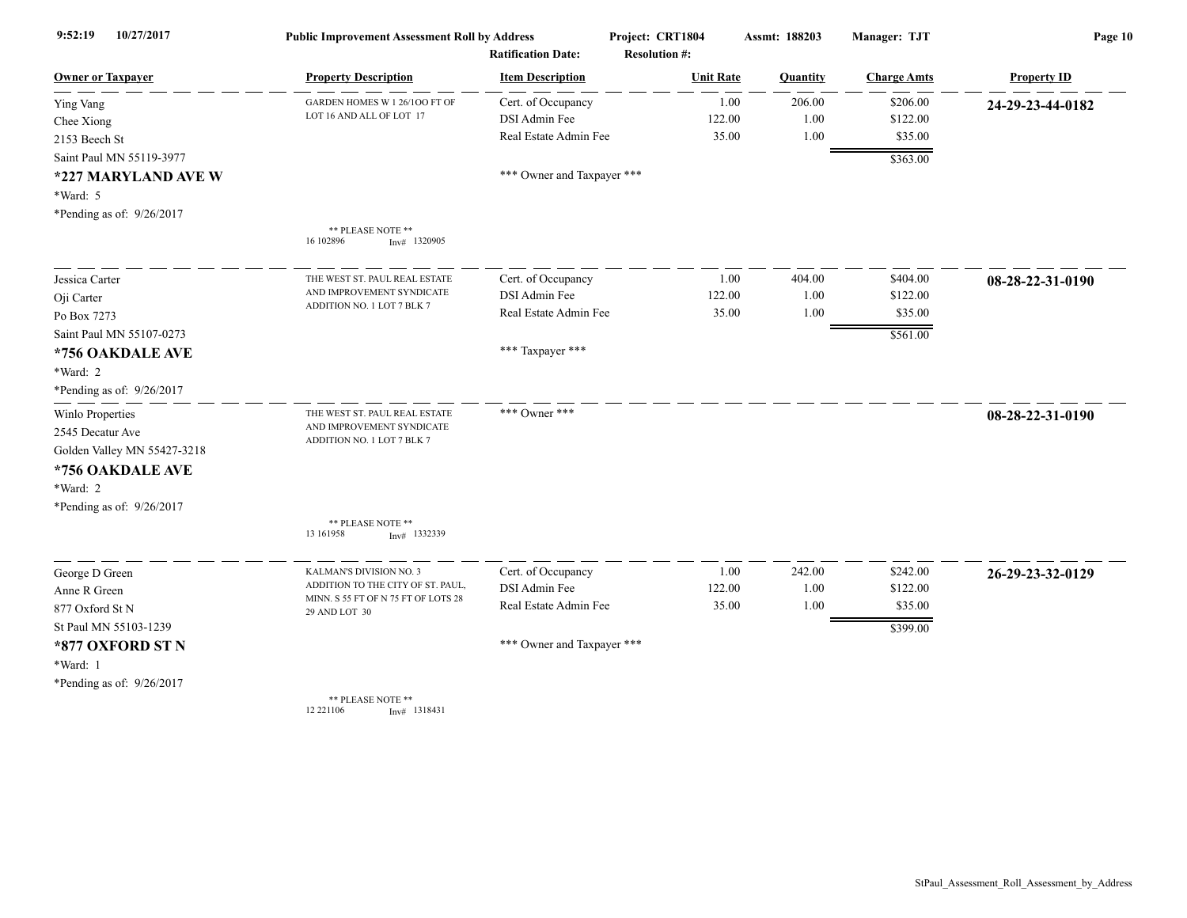| 10/27/2017<br>9:52:19       | <b>Public Improvement Assessment Roll by Address</b>         |                            | Project: CRT1804     | Assmt: 188203 | Manager: TJT       | Page 10            |  |
|-----------------------------|--------------------------------------------------------------|----------------------------|----------------------|---------------|--------------------|--------------------|--|
|                             |                                                              | <b>Ratification Date:</b>  | <b>Resolution #:</b> |               |                    |                    |  |
| <b>Owner or Taxpayer</b>    | <b>Property Description</b>                                  | <b>Item Description</b>    | <b>Unit Rate</b>     | Quantity      | <b>Charge Amts</b> | <b>Property ID</b> |  |
| Ying Vang                   | GARDEN HOMES W 1 26/100 FT OF                                | Cert. of Occupancy         | 1.00                 | 206.00        | \$206.00           | 24-29-23-44-0182   |  |
| Chee Xiong                  | LOT 16 AND ALL OF LOT 17                                     | DSI Admin Fee              | 122.00               | 1.00          | \$122.00           |                    |  |
| 2153 Beech St               |                                                              | Real Estate Admin Fee      | 35.00                | 1.00          | \$35.00            |                    |  |
| Saint Paul MN 55119-3977    |                                                              |                            |                      |               | \$363.00           |                    |  |
| *227 MARYLAND AVE W         |                                                              | *** Owner and Taxpayer *** |                      |               |                    |                    |  |
| *Ward: 5                    |                                                              |                            |                      |               |                    |                    |  |
| *Pending as of: 9/26/2017   |                                                              |                            |                      |               |                    |                    |  |
|                             | ** PLEASE NOTE **<br>16 102896<br>$Inv#$ 1320905             |                            |                      |               |                    |                    |  |
| Jessica Carter              | THE WEST ST. PAUL REAL ESTATE                                | Cert. of Occupancy         | 1.00                 | 404.00        | \$404.00           | 08-28-22-31-0190   |  |
| Oji Carter                  | AND IMPROVEMENT SYNDICATE                                    | DSI Admin Fee              | 122.00               | 1.00          | \$122.00           |                    |  |
| Po Box 7273                 | ADDITION NO. 1 LOT 7 BLK 7                                   | Real Estate Admin Fee      | 35.00                | 1.00          | \$35.00            |                    |  |
| Saint Paul MN 55107-0273    |                                                              |                            |                      |               | \$561.00           |                    |  |
| *756 OAKDALE AVE            |                                                              | *** Taxpayer ***           |                      |               |                    |                    |  |
| *Ward: 2                    |                                                              |                            |                      |               |                    |                    |  |
| *Pending as of: 9/26/2017   |                                                              |                            |                      |               |                    |                    |  |
| Winlo Properties            | THE WEST ST. PAUL REAL ESTATE                                | *** Owner ***              |                      |               |                    | 08-28-22-31-0190   |  |
| 2545 Decatur Ave            | AND IMPROVEMENT SYNDICATE<br>ADDITION NO. 1 LOT 7 BLK 7      |                            |                      |               |                    |                    |  |
| Golden Valley MN 55427-3218 |                                                              |                            |                      |               |                    |                    |  |
| *756 OAKDALE AVE            |                                                              |                            |                      |               |                    |                    |  |
| *Ward: 2                    |                                                              |                            |                      |               |                    |                    |  |
| *Pending as of: 9/26/2017   |                                                              |                            |                      |               |                    |                    |  |
|                             | ** PLEASE NOTE **<br>13 16 1958<br>Inv# 1332339              |                            |                      |               |                    |                    |  |
| George D Green              | KALMAN'S DIVISION NO. 3                                      | Cert. of Occupancy         | 1.00                 | 242.00        | \$242.00           | 26-29-23-32-0129   |  |
| Anne R Green                | ADDITION TO THE CITY OF ST. PAUL,                            | DSI Admin Fee              | 122.00               | 1.00          | \$122.00           |                    |  |
| 877 Oxford St N             | MINN. S 55 FT OF N 75 FT OF LOTS 28<br>29 AND LOT 30         | Real Estate Admin Fee      | 35.00                | 1.00          | \$35.00            |                    |  |
| St Paul MN 55103-1239       |                                                              |                            |                      |               | \$399.00           |                    |  |
| *877 OXFORD ST N            |                                                              | *** Owner and Taxpayer *** |                      |               |                    |                    |  |
| *Ward: 1                    |                                                              |                            |                      |               |                    |                    |  |
| *Pending as of: 9/26/2017   |                                                              |                            |                      |               |                    |                    |  |
|                             | ** PLEASE NOTE **<br>12 22 1106<br>$I_{\text{nv}}$ # 1318431 |                            |                      |               |                    |                    |  |

12 221106 Inv# 1318431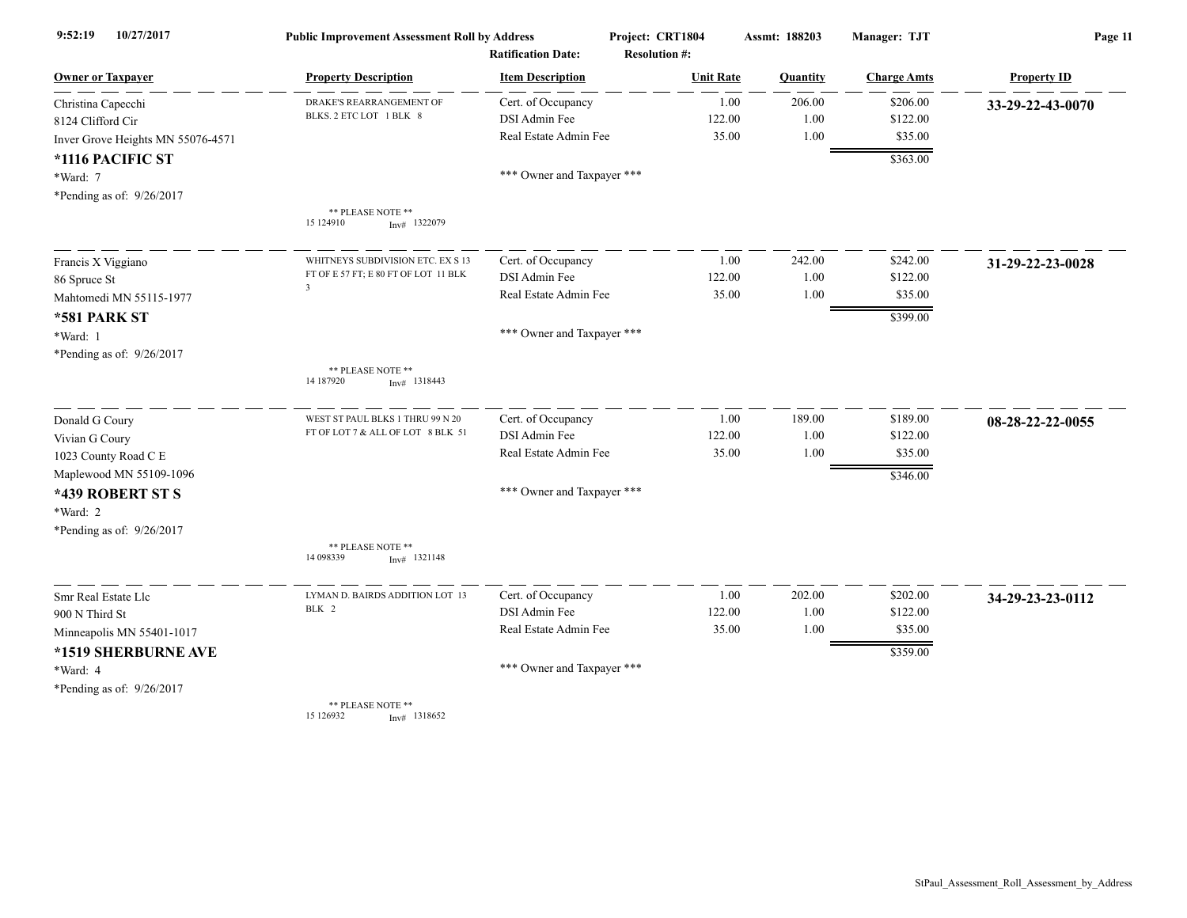| 10/27/2017<br>9:52:19             | <b>Public Improvement Assessment Roll by Address</b><br><b>Ratification Date:</b> |                            | Project: CRT1804<br><b>Resolution #:</b> | Assmt: 188203 | Manager: TJT       | Page 11            |
|-----------------------------------|-----------------------------------------------------------------------------------|----------------------------|------------------------------------------|---------------|--------------------|--------------------|
| <b>Owner or Taxpayer</b>          | <b>Property Description</b>                                                       | <b>Item Description</b>    | <b>Unit Rate</b>                         | Quantity      | <b>Charge Amts</b> | <b>Property ID</b> |
| Christina Capecchi                | DRAKE'S REARRANGEMENT OF                                                          | Cert. of Occupancy         | 1.00                                     | 206.00        | \$206.00           | 33-29-22-43-0070   |
| 8124 Clifford Cir                 | BLKS. 2 ETC LOT 1 BLK 8                                                           | DSI Admin Fee              | 122.00                                   | 1.00          | \$122.00           |                    |
| Inver Grove Heights MN 55076-4571 |                                                                                   | Real Estate Admin Fee      | 35.00                                    | 1.00          | \$35.00            |                    |
| *1116 PACIFIC ST                  |                                                                                   |                            |                                          |               | \$363.00           |                    |
| *Ward: 7                          |                                                                                   | *** Owner and Taxpayer *** |                                          |               |                    |                    |
| *Pending as of: 9/26/2017         |                                                                                   |                            |                                          |               |                    |                    |
|                                   | ** PLEASE NOTE **<br>15 124910<br>$Inv#$ 1322079                                  |                            |                                          |               |                    |                    |
| Francis X Viggiano                | WHITNEYS SUBDIVISION ETC. EX S 13                                                 | Cert. of Occupancy         | 1.00                                     | 242.00        | \$242.00           | 31-29-22-23-0028   |
| 86 Spruce St                      | FT OF E 57 FT; E 80 FT OF LOT 11 BLK                                              | DSI Admin Fee              | 122.00                                   | 1.00          | \$122.00           |                    |
| Mahtomedi MN 55115-1977           | $\overline{\mathbf{3}}$                                                           | Real Estate Admin Fee      | 35.00                                    | 1.00          | \$35.00            |                    |
| *581 PARK ST                      |                                                                                   |                            |                                          |               | \$399.00           |                    |
| *Ward: 1                          |                                                                                   | *** Owner and Taxpayer *** |                                          |               |                    |                    |
| *Pending as of: 9/26/2017         |                                                                                   |                            |                                          |               |                    |                    |
|                                   | ** PLEASE NOTE **<br>14 187920<br>$Inv#$ 1318443                                  |                            |                                          |               |                    |                    |
| Donald G Coury                    | WEST ST PAUL BLKS 1 THRU 99 N 20                                                  | Cert. of Occupancy         | 1.00                                     | 189.00        | \$189.00           | 08-28-22-22-0055   |
| Vivian G Coury                    | FT OF LOT 7 & ALL OF LOT 8 BLK 51                                                 | DSI Admin Fee              | 122.00                                   | 1.00          | \$122.00           |                    |
| 1023 County Road C E              |                                                                                   | Real Estate Admin Fee      | 35.00                                    | 1.00          | \$35.00            |                    |
| Maplewood MN 55109-1096           |                                                                                   |                            |                                          |               | \$346.00           |                    |
| *439 ROBERT ST S                  |                                                                                   | *** Owner and Taxpayer *** |                                          |               |                    |                    |
| *Ward: 2                          |                                                                                   |                            |                                          |               |                    |                    |
| *Pending as of: 9/26/2017         |                                                                                   |                            |                                          |               |                    |                    |
|                                   | ** PLEASE NOTE **<br>14 098339<br>$Inv#$ 1321148                                  |                            |                                          |               |                    |                    |
| Smr Real Estate Llc               | LYMAN D. BAIRDS ADDITION LOT 13                                                   | Cert. of Occupancy         | 1.00                                     | 202.00        | \$202.00           | 34-29-23-23-0112   |
| 900 N Third St                    | BLK 2                                                                             | DSI Admin Fee              | 122.00                                   | 1.00          | \$122.00           |                    |
| Minneapolis MN 55401-1017         |                                                                                   | Real Estate Admin Fee      | 35.00                                    | 1.00          | \$35.00            |                    |
| *1519 SHERBURNE AVE               |                                                                                   |                            |                                          |               | \$359.00           |                    |
| *Ward: 4                          |                                                                                   | *** Owner and Taxpayer *** |                                          |               |                    |                    |
| *Pending as of: 9/26/2017         |                                                                                   |                            |                                          |               |                    |                    |
|                                   | ** PLEASE NOTE **<br>15 126932<br>$Inv#$ 1318652                                  |                            |                                          |               |                    |                    |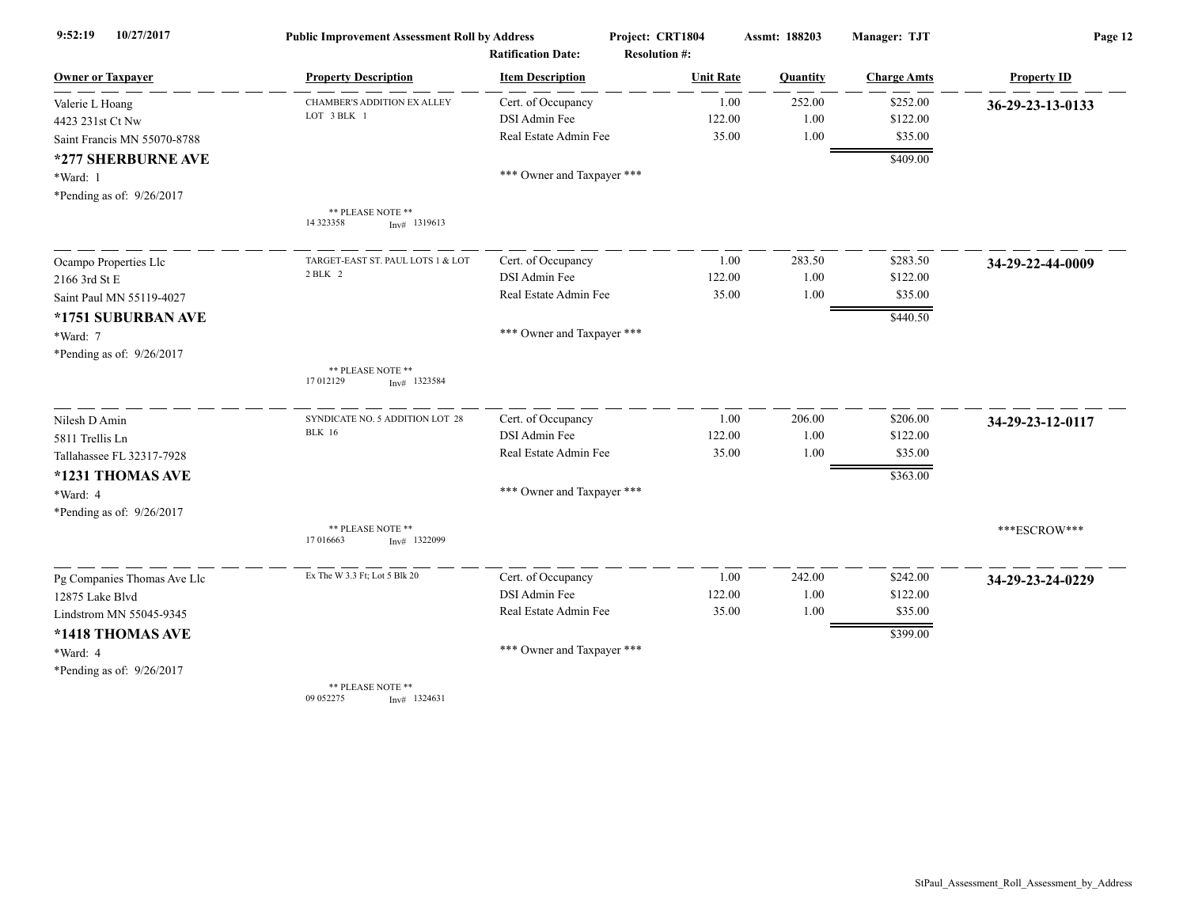| 10/27/2017<br>9:52:19       | <b>Public Improvement Assessment Roll by Address</b> |                            | Project: CRT1804     | Assmt: 188203 | Manager: TJT       | Page 12            |  |
|-----------------------------|------------------------------------------------------|----------------------------|----------------------|---------------|--------------------|--------------------|--|
|                             |                                                      | <b>Ratification Date:</b>  | <b>Resolution #:</b> |               |                    |                    |  |
| <b>Owner or Taxpayer</b>    | <b>Property Description</b>                          | <b>Item Description</b>    | <b>Unit Rate</b>     | Quantity      | <b>Charge Amts</b> | <b>Property ID</b> |  |
| Valerie L Hoang             | <b>CHAMBER'S ADDITION EX ALLEY</b>                   | Cert. of Occupancy         | 1.00                 | 252.00        | \$252.00           | 36-29-23-13-0133   |  |
| 4423 231st Ct Nw            | LOT 3 BLK 1                                          | DSI Admin Fee              | 122.00               | 1.00          | \$122.00           |                    |  |
| Saint Francis MN 55070-8788 |                                                      | Real Estate Admin Fee      | 35.00                | 1.00          | \$35.00            |                    |  |
| *277 SHERBURNE AVE          |                                                      |                            |                      |               | \$409.00           |                    |  |
| *Ward: 1                    |                                                      | *** Owner and Taxpayer *** |                      |               |                    |                    |  |
| *Pending as of: 9/26/2017   |                                                      |                            |                      |               |                    |                    |  |
|                             | ** PLEASE NOTE **<br>14 323358<br>$Inv#$ 1319613     |                            |                      |               |                    |                    |  |
| Ocampo Properties Llc       | TARGET-EAST ST. PAUL LOTS 1 & LOT                    | Cert. of Occupancy         | 1.00                 | 283.50        | \$283.50           | 34-29-22-44-0009   |  |
| 2166 3rd St E               | 2 BLK 2                                              | DSI Admin Fee              | 122.00               | 1.00          | \$122.00           |                    |  |
| Saint Paul MN 55119-4027    |                                                      | Real Estate Admin Fee      | 35.00                | 1.00          | \$35.00            |                    |  |
| *1751 SUBURBAN AVE          |                                                      |                            |                      |               | \$440.50           |                    |  |
| *Ward: 7                    |                                                      | *** Owner and Taxpayer *** |                      |               |                    |                    |  |
| *Pending as of: 9/26/2017   |                                                      |                            |                      |               |                    |                    |  |
|                             | ** PLEASE NOTE **<br>17 012129<br>$Inv#$ 1323584     |                            |                      |               |                    |                    |  |
| Nilesh D Amin               | SYNDICATE NO. 5 ADDITION LOT 28                      | Cert. of Occupancy         | 1.00                 | 206.00        | \$206.00           | 34-29-23-12-0117   |  |
| 5811 Trellis Ln             | <b>BLK</b> 16                                        | DSI Admin Fee              | 122.00               | 1.00          | \$122.00           |                    |  |
| Tallahassee FL 32317-7928   |                                                      | Real Estate Admin Fee      | 35.00                | 1.00          | \$35.00            |                    |  |
| *1231 THOMAS AVE            |                                                      |                            |                      |               | \$363.00           |                    |  |
| *Ward: 4                    |                                                      | *** Owner and Taxpayer *** |                      |               |                    |                    |  |
| *Pending as of: 9/26/2017   |                                                      |                            |                      |               |                    |                    |  |
|                             | ** PLEASE NOTE **<br>17 016663<br>$Inv#$ 1322099     |                            |                      |               |                    | ***ESCROW***       |  |
| Pg Companies Thomas Ave Llc | Ex The W 3.3 Ft; Lot 5 Blk 20                        | Cert. of Occupancy         | 1.00                 | 242.00        | \$242.00           | 34-29-23-24-0229   |  |
| 12875 Lake Blvd             |                                                      | DSI Admin Fee              | 122.00               | 1.00          | \$122.00           |                    |  |
| Lindstrom MN 55045-9345     |                                                      | Real Estate Admin Fee      | 35.00                | 1.00          | \$35.00            |                    |  |
| *1418 THOMAS AVE            |                                                      |                            |                      |               | \$399.00           |                    |  |
| *Ward: 4                    |                                                      | *** Owner and Taxpayer *** |                      |               |                    |                    |  |
| *Pending as of: 9/26/2017   |                                                      |                            |                      |               |                    |                    |  |
|                             | ** PLEASE NOTE **<br>09 05 2275<br>$Inv#$ 1324631    |                            |                      |               |                    |                    |  |